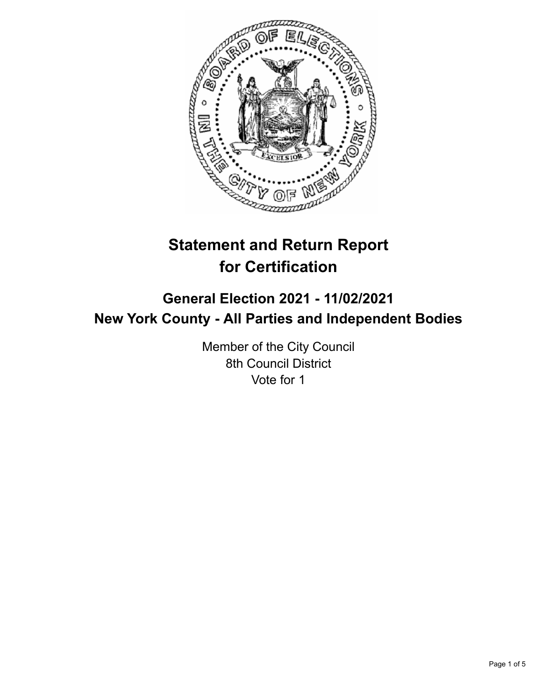

# **Statement and Return Report for Certification**

## **General Election 2021 - 11/02/2021 New York County - All Parties and Independent Bodies**

Member of the City Council 8th Council District Vote for 1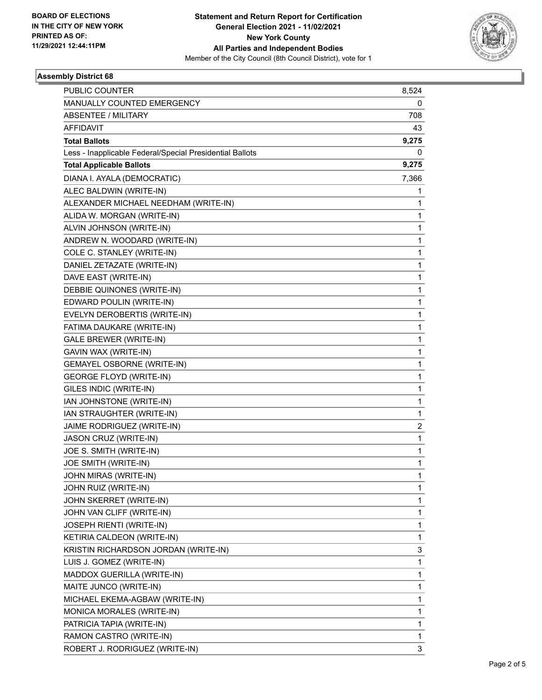

### **Assembly District 68**

| <b>PUBLIC COUNTER</b>                                    | 8,524 |
|----------------------------------------------------------|-------|
| MANUALLY COUNTED EMERGENCY                               | 0     |
| <b>ABSENTEE / MILITARY</b>                               | 708   |
| <b>AFFIDAVIT</b>                                         | 43    |
| <b>Total Ballots</b>                                     | 9,275 |
| Less - Inapplicable Federal/Special Presidential Ballots | 0     |
| <b>Total Applicable Ballots</b>                          | 9,275 |
| DIANA I. AYALA (DEMOCRATIC)                              | 7,366 |
| ALEC BALDWIN (WRITE-IN)                                  | 1     |
| ALEXANDER MICHAEL NEEDHAM (WRITE-IN)                     | 1     |
| ALIDA W. MORGAN (WRITE-IN)                               | 1     |
| ALVIN JOHNSON (WRITE-IN)                                 | 1     |
| ANDREW N. WOODARD (WRITE-IN)                             | 1     |
| COLE C. STANLEY (WRITE-IN)                               | 1     |
| DANIEL ZETAZATE (WRITE-IN)                               | 1     |
| DAVE EAST (WRITE-IN)                                     | 1     |
| DEBBIE QUINONES (WRITE-IN)                               | 1     |
| EDWARD POULIN (WRITE-IN)                                 | 1     |
| EVELYN DEROBERTIS (WRITE-IN)                             | 1     |
| FATIMA DAUKARE (WRITE-IN)                                | 1     |
| GALE BREWER (WRITE-IN)                                   | 1     |
| GAVIN WAX (WRITE-IN)                                     | 1     |
| <b>GEMAYEL OSBORNE (WRITE-IN)</b>                        | 1     |
| <b>GEORGE FLOYD (WRITE-IN)</b>                           | 1     |
| GILES INDIC (WRITE-IN)                                   | 1     |
| IAN JOHNSTONE (WRITE-IN)                                 | 1     |
| IAN STRAUGHTER (WRITE-IN)                                | 1     |
| JAIME RODRIGUEZ (WRITE-IN)                               | 2     |
| JASON CRUZ (WRITE-IN)                                    | 1     |
| JOE S. SMITH (WRITE-IN)                                  | 1     |
| JOE SMITH (WRITE-IN)                                     | 1     |
| JOHN MIRAS (WRITE-IN)                                    | 1     |
| JOHN RUIZ (WRITE-IN)                                     | 1     |
| JOHN SKERRET (WRITE-IN)                                  | 1     |
| JOHN VAN CLIFF (WRITE-IN)                                | 1     |
| JOSEPH RIENTI (WRITE-IN)                                 | 1     |
| KETIRIA CALDEON (WRITE-IN)                               | 1     |
| KRISTIN RICHARDSON JORDAN (WRITE-IN)                     | 3     |
| LUIS J. GOMEZ (WRITE-IN)                                 | 1     |
| MADDOX GUERILLA (WRITE-IN)                               | 1     |
| MAITE JUNCO (WRITE-IN)                                   | 1     |
| MICHAEL EKEMA-AGBAW (WRITE-IN)                           | 1     |
| MONICA MORALES (WRITE-IN)                                | 1     |
| PATRICIA TAPIA (WRITE-IN)                                | 1     |
| RAMON CASTRO (WRITE-IN)                                  | 1     |
| ROBERT J. RODRIGUEZ (WRITE-IN)                           | 3     |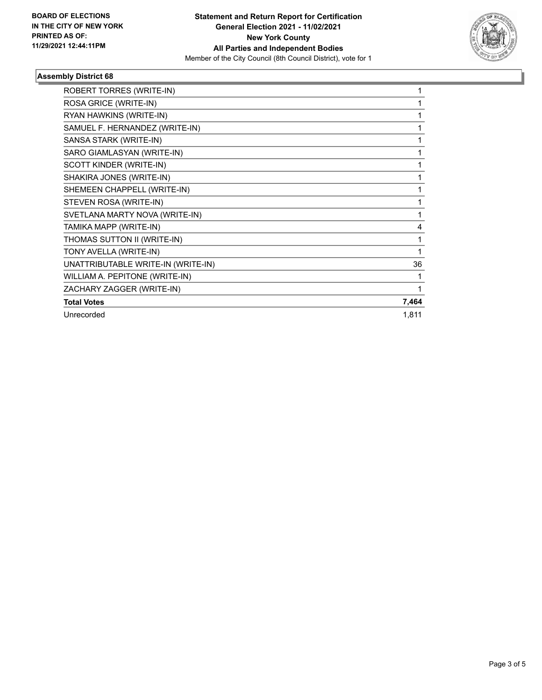

### **Assembly District 68**

| ROBERT TORRES (WRITE-IN)           |       |
|------------------------------------|-------|
| ROSA GRICE (WRITE-IN)              |       |
| RYAN HAWKINS (WRITE-IN)            |       |
| SAMUEL F. HERNANDEZ (WRITE-IN)     | 1     |
| SANSA STARK (WRITE-IN)             | 1     |
| SARO GIAMLASYAN (WRITE-IN)         | 1     |
| SCOTT KINDER (WRITE-IN)            | 1     |
| SHAKIRA JONES (WRITE-IN)           | 1     |
| SHEMEEN CHAPPELL (WRITE-IN)        |       |
| STEVEN ROSA (WRITE-IN)             |       |
| SVETLANA MARTY NOVA (WRITE-IN)     | 1     |
| TAMIKA MAPP (WRITE-IN)             | 4     |
| THOMAS SUTTON II (WRITE-IN)        | 1     |
| TONY AVELLA (WRITE-IN)             | 1     |
| UNATTRIBUTABLE WRITE-IN (WRITE-IN) | 36    |
| WILLIAM A. PEPITONE (WRITE-IN)     |       |
| ZACHARY ZAGGER (WRITE-IN)          |       |
| <b>Total Votes</b>                 | 7,464 |
| Unrecorded                         | 1,811 |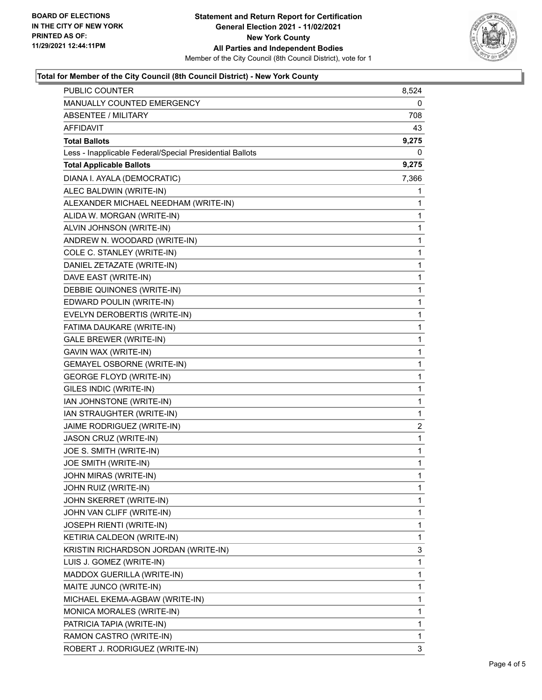

### **Total for Member of the City Council (8th Council District) - New York County**

| <b>PUBLIC COUNTER</b>                                    | 8,524       |
|----------------------------------------------------------|-------------|
| MANUALLY COUNTED EMERGENCY                               | 0           |
| ABSENTEE / MILITARY                                      | 708         |
| AFFIDAVIT                                                | 43          |
| <b>Total Ballots</b>                                     | 9,275       |
| Less - Inapplicable Federal/Special Presidential Ballots | 0           |
| <b>Total Applicable Ballots</b>                          | 9,275       |
| DIANA I. AYALA (DEMOCRATIC)                              | 7,366       |
| ALEC BALDWIN (WRITE-IN)                                  | 1           |
| ALEXANDER MICHAEL NEEDHAM (WRITE-IN)                     | 1           |
| ALIDA W. MORGAN (WRITE-IN)                               | 1           |
| ALVIN JOHNSON (WRITE-IN)                                 | 1           |
| ANDREW N. WOODARD (WRITE-IN)                             | 1           |
| COLE C. STANLEY (WRITE-IN)                               | $\mathbf 1$ |
| DANIEL ZETAZATE (WRITE-IN)                               | 1           |
| DAVE EAST (WRITE-IN)                                     | 1           |
| DEBBIE QUINONES (WRITE-IN)                               | 1           |
| EDWARD POULIN (WRITE-IN)                                 | 1           |
| EVELYN DEROBERTIS (WRITE-IN)                             | 1           |
| FATIMA DAUKARE (WRITE-IN)                                | $\mathbf 1$ |
| GALE BREWER (WRITE-IN)                                   | 1           |
| GAVIN WAX (WRITE-IN)                                     | 1           |
| GEMAYEL OSBORNE (WRITE-IN)                               | 1           |
| <b>GEORGE FLOYD (WRITE-IN)</b>                           | 1           |
| GILES INDIC (WRITE-IN)                                   | 1           |
| IAN JOHNSTONE (WRITE-IN)                                 | $\mathbf 1$ |
| IAN STRAUGHTER (WRITE-IN)                                | 1           |
| JAIME RODRIGUEZ (WRITE-IN)                               | 2           |
| JASON CRUZ (WRITE-IN)                                    | $\mathbf 1$ |
| JOE S. SMITH (WRITE-IN)                                  | 1           |
| JOE SMITH (WRITE-IN)                                     | 1           |
| JOHN MIRAS (WRITE-IN)                                    | $\mathbf 1$ |
| JOHN RUIZ (WRITE-IN)                                     | 1           |
| JOHN SKERRET (WRITE-IN)                                  | 1           |
| JOHN VAN CLIFF (WRITE-IN)                                | 1           |
| JOSEPH RIENTI (WRITE-IN)                                 | 1           |
| KETIRIA CALDEON (WRITE-IN)                               | 1           |
| KRISTIN RICHARDSON JORDAN (WRITE-IN)                     | 3           |
| LUIS J. GOMEZ (WRITE-IN)                                 | 1           |
| MADDOX GUERILLA (WRITE-IN)                               | 1           |
| MAITE JUNCO (WRITE-IN)                                   | 1           |
| MICHAEL EKEMA-AGBAW (WRITE-IN)                           | 1           |
| MONICA MORALES (WRITE-IN)                                | 1           |
| PATRICIA TAPIA (WRITE-IN)                                | 1           |
| RAMON CASTRO (WRITE-IN)                                  | 1           |
| ROBERT J. RODRIGUEZ (WRITE-IN)                           | 3           |